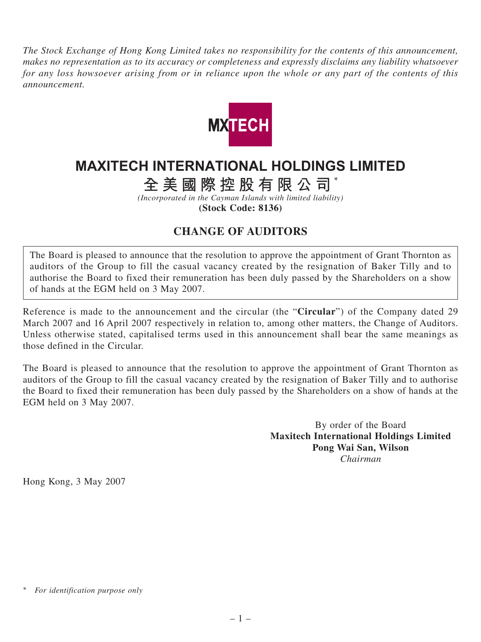*The Stock Exchange of Hong Kong Limited takes no responsibility for the contents of this announcement, makes no representation as to its accuracy or completeness and expressly disclaims any liability whatsoever for any loss howsoever arising from or in reliance upon the whole or any part of the contents of this announcement.*



## **MAXITECH INTERNATIONAL HOLDINGS LIMITED**

**全美國際控股有限公司** \*

*(Incorporated in the Cayman Islands with limited liability)* **(Stock Code: 8136)**

## **CHANGE OF AUDITORS**

The Board is pleased to announce that the resolution to approve the appointment of Grant Thornton as auditors of the Group to fill the casual vacancy created by the resignation of Baker Tilly and to authorise the Board to fixed their remuneration has been duly passed by the Shareholders on a show of hands at the EGM held on 3 May 2007.

Reference is made to the announcement and the circular (the "**Circular**") of the Company dated 29 March 2007 and 16 April 2007 respectively in relation to, among other matters, the Change of Auditors. Unless otherwise stated, capitalised terms used in this announcement shall bear the same meanings as those defined in the Circular.

The Board is pleased to announce that the resolution to approve the appointment of Grant Thornton as auditors of the Group to fill the casual vacancy created by the resignation of Baker Tilly and to authorise the Board to fixed their remuneration has been duly passed by the Shareholders on a show of hands at the EGM held on 3 May 2007.

> By order of the Board **Maxitech International Holdings Limited Pong Wai San, Wilson** *Chairman*

Hong Kong, 3 May 2007

*<sup>\*</sup> For identification purpose only*